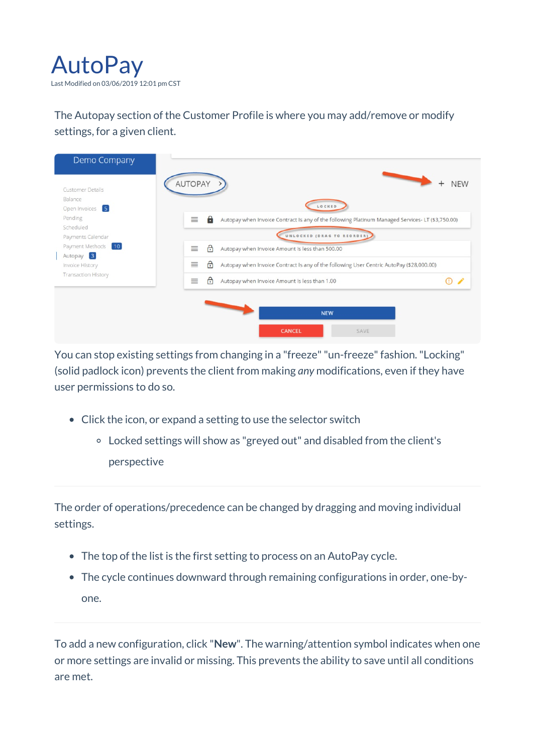

The Autopay section of the Customer Profile is where you may add/remove or modify settings, for a given client.



You can stop existing settings from changing in a "freeze" "un-freeze" fashion. "Locking" (solid padlock icon) prevents the client from making *any* modifications, even if they have user permissions to do so.

- Click the icon, or expand a setting to use the selector switch
	- Locked settings will show as "greyed out" and disabled from the client's perspective

The order of operations/precedence can be changed by dragging and moving individual settings.

- The top of the list is the first setting to process on an AutoPay cycle.
- The cycle continues downward through remaining configurations in order, one-byone.

To add a new configuration, click "**New**". The warning/attention symbol indicates when one or more settings are invalid or missing. This prevents the ability to save until all conditions are met.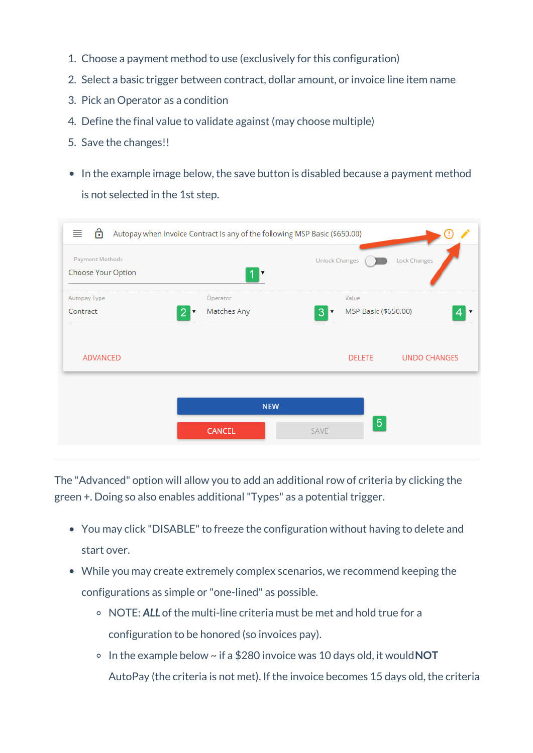- 1. Choose a payment method to use (exclusively for this configuration)
- 2. Select a basic trigger between contract, dollar amount, or invoice line item name
- 3. Pick an Operator as a condition
- 4. Define the final value to validate against (may choose multiple)
- 5. Save the changes!!
- In the example image below, the save button is disabled because a payment method is not selected in the 1st step.

|                                           |   | <b>Unlock Changes</b>         | <b>Lock Changes</b> |
|-------------------------------------------|---|-------------------------------|---------------------|
| Operator<br>Matches Any<br>$\overline{2}$ | 3 | Value<br>MSP Basic (\$650.00) |                     |
|                                           |   | <b>DELETE</b>                 | <b>UNDO CHANGES</b> |
| <b>NEW</b>                                |   |                               |                     |
|                                           |   |                               | $\overline{5}$      |

The "Advanced" option will allow you to add an additional row of criteria by clicking the green +. Doing so also enables additional"Types" as a potential trigger.

- You may click "DISABLE" to freeze the configuration without having to delete and start over.
- While you may create extremely complex scenarios, we recommend keeping the configurations as simple or "one-lined" as possible.
	- NOTE: *ALL* of the multi-line criteria must be met and hold true for a configuration to be honored (so invoices pay).
	- In the example below ~ if a \$280 invoice was 10 days old, it would**NOT** AutoPay (the criteria is not met). If the invoice becomes 15 days old, the criteria